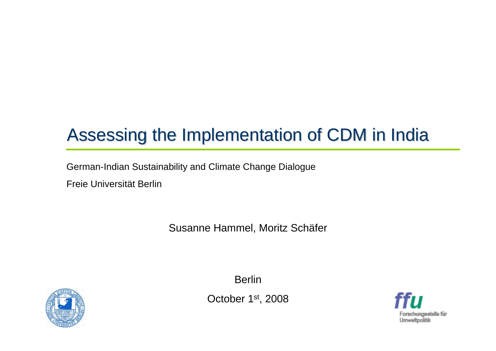# Assessing the Implementation of CDM in India

German-Indian Sustainability and Climate Change Dialogue

Freie Universität Berlin

Susanne Hammel, Moritz Schäfer



**Berlin** 

October <sup>1</sup>st, 2008

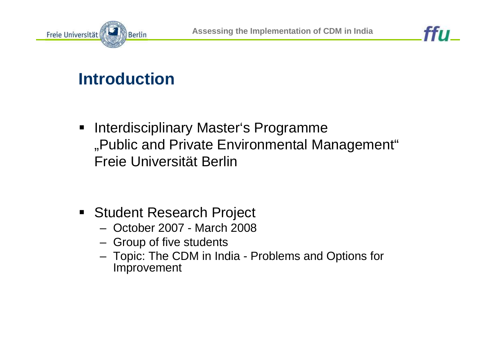



## **Introduction**

- $\blacksquare$  Interdisciplinary Master's Programme"Public and Private Environmental Management" Freie Universität Berlin
- **Student Research Project** 
	- –October 2007 - March 2008
	- –Group of five students
	- Tonic: The CDM in In Topic: The CDM in India - Problems and Options forImprovement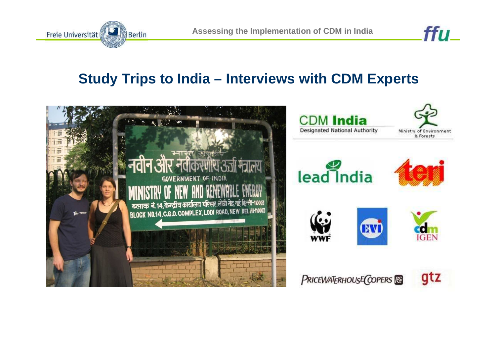

ffu\_

#### **Study Trips to India – Interviews with CDM Experts**

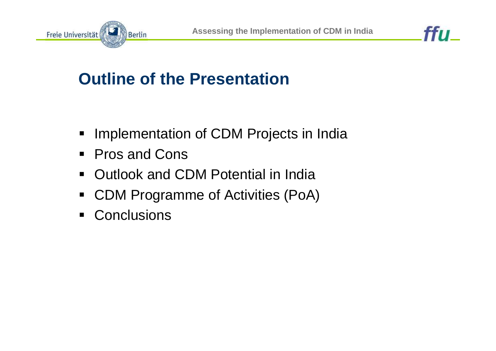



## **Outline of the Presentation**

- Implementation of CDM Projects in India
- $\blacksquare$ Pros and Cons
- $\blacksquare$ Outlook and CDM Potential in India
- $\blacksquare$ CDM Programme of Activities (PoA)
- $\blacksquare$ **Conclusions**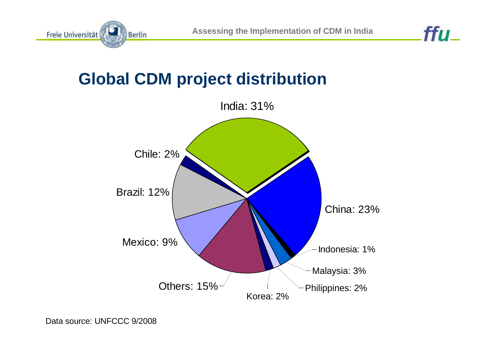

#### **Global CDM project distribution**

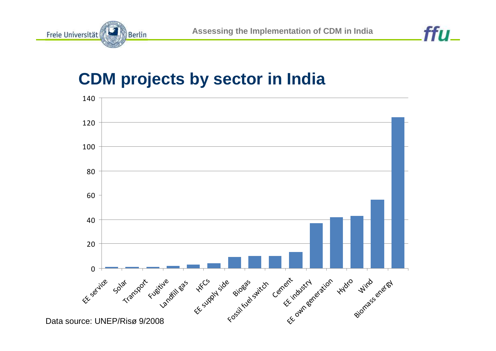

#### **CDM projects by sector in India**

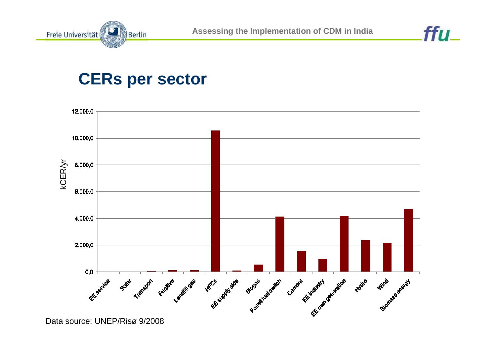



#### **CERs per sector**

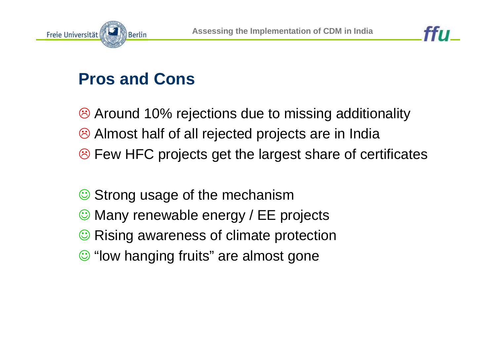



# **Pros and Cons**

<sup>3</sup> Around 10% rejections due to missing additionality - Almost half of all rejected projects are in India - Few HFC projects get the largest share of certificates

- $\odot$ Strong usage of the mechanism
- © Many renewable energy / EE projects
- **☉ Rising awareness of climate protection**
- ☺ "low hanging fruits" are almost gone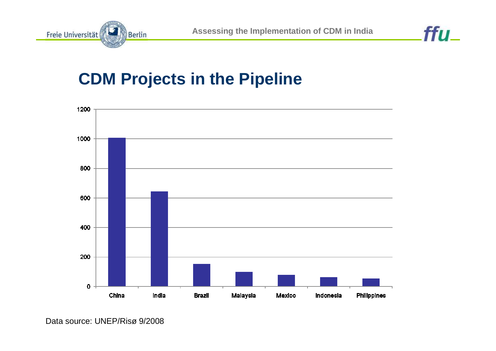

ffu\_

#### **CDM Projects in the Pipeline**



Data source: UNEP/Risø 9/2008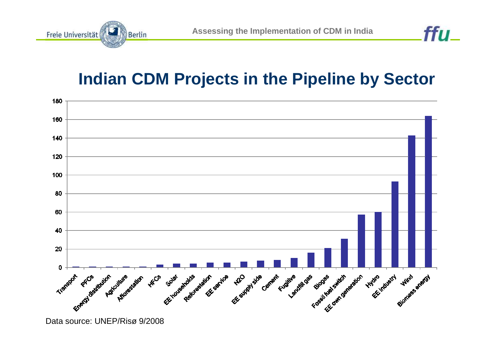

#### **Indian CDM Projects in the Pipeline by Sector**



Data source: UNEP/Risø 9/2008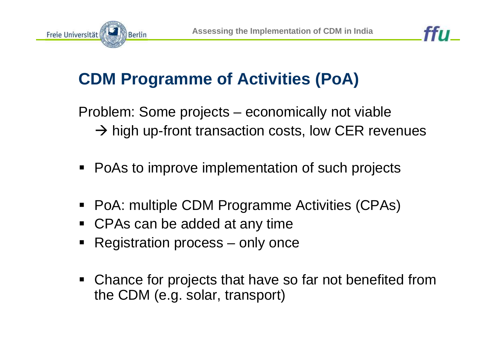



## **CDM Programme of Activities (PoA)**

Problem: Some projects – economically not viable $\rightarrow$  high up-front transaction costs, low CER revenues

- ٠ PoAs to improve implementation of such projects
- PoA: multiple CDM Programme Activities (CPAs)
- CPAs can be added at any time
- **Registration process only once**
- Chance for projects that have so far not benefited from the CDM (e.g. solar, transport)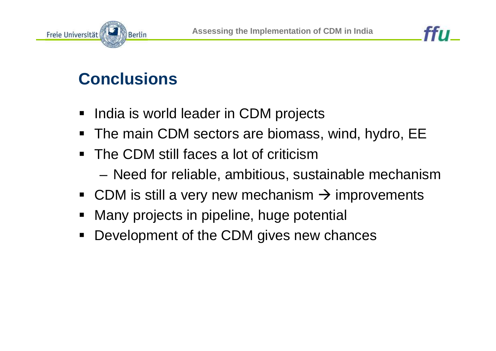





## **Conclusions**

- India is world leader in CDM projects
- The main CDM sectors are biomass, wind, hydro, EE
- $\blacksquare$  The CDM still faces a lot of criticism– Need tor relighle, ambitious, su Need for reliable, ambitious, sustainable mechanism
- CDM is still a very new mechanism  $\rightarrow$  improvements
- Many projects in pipeline, huge potential
- $\blacksquare$ Development of the CDM gives new chances